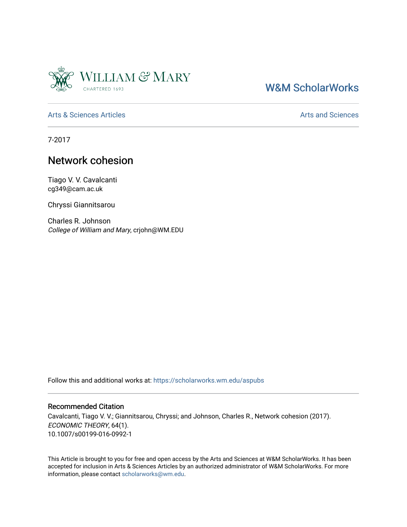

# [W&M ScholarWorks](https://scholarworks.wm.edu/)

[Arts & Sciences Articles](https://scholarworks.wm.edu/aspubs) **Articles** [Arts and Sciences](https://scholarworks.wm.edu/as) Articles Arts and Sciences Arts and Sciences

7-2017

# Network cohesion

Tiago V. V. Cavalcanti cg349@cam.ac.uk

Chryssi Giannitsarou

Charles R. Johnson College of William and Mary, crjohn@WM.EDU

Follow this and additional works at: [https://scholarworks.wm.edu/aspubs](https://scholarworks.wm.edu/aspubs?utm_source=scholarworks.wm.edu%2Faspubs%2F189&utm_medium=PDF&utm_campaign=PDFCoverPages) 

# Recommended Citation

Cavalcanti, Tiago V. V.; Giannitsarou, Chryssi; and Johnson, Charles R., Network cohesion (2017). ECONOMIC THEORY, 64(1). 10.1007/s00199-016-0992-1

This Article is brought to you for free and open access by the Arts and Sciences at W&M ScholarWorks. It has been accepted for inclusion in Arts & Sciences Articles by an authorized administrator of W&M ScholarWorks. For more information, please contact [scholarworks@wm.edu](mailto:scholarworks@wm.edu).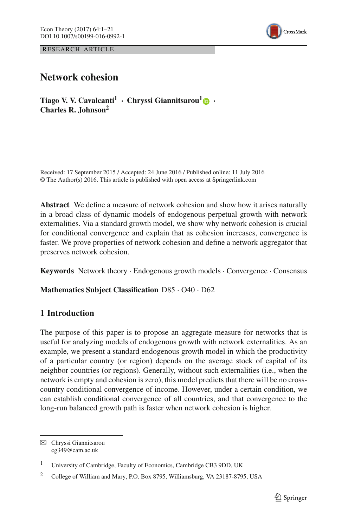RESEARCH ARTICLE



# **Network cohesion**

**Tiago V. V. Cavalcanti1 · Chryssi Giannitsarou[1](http://orcid.org/0000-0002-1488-2433) · Charles R. Johnson2**

Received: 17 September 2015 / Accepted: 24 June 2016 / Published online: 11 July 2016 © The Author(s) 2016. This article is published with open access at Springerlink.com

**Abstract** We define a measure of network cohesion and show how it arises naturally in a broad class of dynamic models of endogenous perpetual growth with network externalities. Via a standard growth model, we show why network cohesion is crucial for conditional convergence and explain that as cohesion increases, convergence is faster. We prove properties of network cohesion and define a network aggregator that preserves network cohesion.

**Keywords** Network theory · Endogenous growth models · Convergence · Consensus

#### **Mathematics Subject Classification** D85 · O40 · D62

## **1 Introduction**

The purpose of this paper is to propose an aggregate measure for networks that is useful for analyzing models of endogenous growth with network externalities. As an example, we present a standard endogenous growth model in which the productivity of a particular country (or region) depends on the average stock of capital of its neighbor countries (or regions). Generally, without such externalities (i.e., when the network is empty and cohesion is zero), this model predicts that there will be no crosscountry conditional convergence of income. However, under a certain condition, we can establish conditional convergence of all countries, and that convergence to the long-run balanced growth path is faster when network cohesion is higher.

 $\boxtimes$  Chryssi Giannitsarou cg349@cam.ac.uk

<sup>&</sup>lt;sup>1</sup> University of Cambridge, Faculty of Economics, Cambridge CB3 9DD, UK

<sup>2</sup> College of William and Mary, P.O. Box 8795, Williamsburg, VA 23187-8795, USA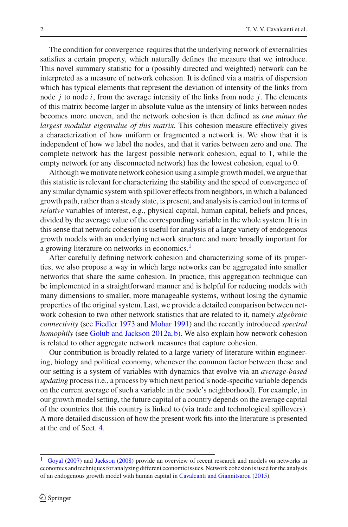The condition for convergence requires that the underlying network of externalities satisfies a certain property, which naturally defines the measure that we introduce. This novel summary statistic for a (possibly directed and weighted) network can be interpreted as a measure of network cohesion. It is defined via a matrix of dispersion which has typical elements that represent the deviation of intensity of the links from node *j* to node *i*, from the average intensity of the links from node *j*. The elements of this matrix become larger in absolute value as the intensity of links between nodes becomes more uneven, and the network cohesion is then defined as *one minus the largest modulus eigenvalue of this matrix*. This cohesion measure effectively gives a characterization of how uniform or fragmented a network is. We show that it is independent of how we label the nodes, and that it varies between zero and one. The complete network has the largest possible network cohesion, equal to 1, while the empty network (or any disconnected network) has the lowest cohesion, equal to 0.

Although we motivate network cohesion using a simple growth model, we argue that this statistic is relevant for characterizing the stability and the speed of convergence of any similar dynamic system with spillover effects from neighbors, in which a balanced growth path, rather than a steady state, is present, and analysis is carried out in terms of *relative* variables of interest, e.g., physical capital, human capital, beliefs and prices, divided by the average value of the corresponding variable in the whole system. It is in this sense that network cohesion is useful for analysis of a large variety of endogenous growth models with an underlying network structure and more broadly important for a growing literature on networks in economics.<sup>1</sup>

After carefully defining network cohesion and characterizing some of its properties, we also propose a way in which large networks can be aggregated into smaller networks that share the same cohesion. In practice, this aggregation technique can be implemented in a straightforward manner and is helpful for reducing models with many dimensions to smaller, more manageable systems, without losing the dynamic properties of the original system. Last, we provide a detailed comparison between network cohesion to two other network statistics that are related to it, namely *algebraic connectivity* (see [Fiedler 1973](#page-21-0) and [Mohar 1991](#page-21-1)) and the recently introduced *spectral homophily* (see [Golub and Jackson 2012a](#page-21-2), [b\)](#page-21-3). We also explain how network cohesion is related to other aggregate network measures that capture cohesion.

Our contribution is broadly related to a large variety of literature within engineering, biology and political economy, whenever the common factor between these and our setting is a system of variables with dynamics that evolve via an *average-based updating* process (i.e., a process by which next period's node-specific variable depends on the current average of such a variable in the node's neighborhood). For example, in our growth model setting, the future capital of a country depends on the average capital of the countries that this country is linked to (via trade and technological spillovers). A more detailed discussion of how the present work fits into the literature is presented at the end of Sect. [4.](#page-10-0)

<span id="page-2-0"></span><sup>&</sup>lt;sup>1</sup> [Goyal](#page-21-4) [\(2007\)](#page-21-4) and [Jackson](#page-21-5) [\(2008](#page-21-5)) provide an overview of recent research and models on networks in economics and techniques for analyzing different economic issues. Network cohesion is used for the analysis of an endogenous growth model with human capital in [Cavalcanti and Giannitsarou](#page-21-6) [\(2015\)](#page-21-6).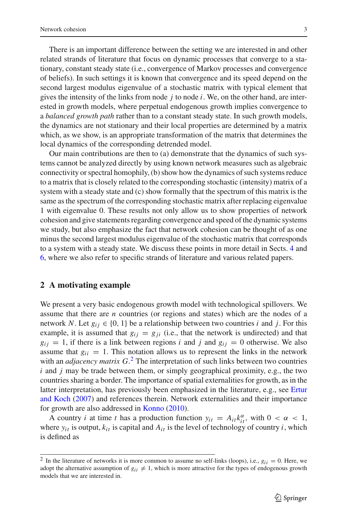There is an important difference between the setting we are interested in and other related strands of literature that focus on dynamic processes that converge to a stationary, constant steady state (i.e., convergence of Markov processes and convergence of beliefs). In such settings it is known that convergence and its speed depend on the second largest modulus eigenvalue of a stochastic matrix with typical element that gives the intensity of the links from node *j* to node *i*. We, on the other hand, are interested in growth models, where perpetual endogenous growth implies convergence to a *balanced growth path* rather than to a constant steady state. In such growth models, the dynamics are not stationary and their local properties are determined by a matrix which, as we show, is an appropriate transformation of the matrix that determines the local dynamics of the corresponding detrended model.

Our main contributions are then to (a) demonstrate that the dynamics of such systems cannot be analyzed directly by using known network measures such as algebraic connectivity or spectral homophily, (b) show how the dynamics of such systems reduce to a matrix that is closely related to the corresponding stochastic (intensity) matrix of a system with a steady state and (c) show formally that the spectrum of this matrix is the same as the spectrum of the corresponding stochastic matrix after replacing eigenvalue 1 with eigenvalue 0. These results not only allow us to show properties of network cohesion and give statements regarding convergence and speed of the dynamic systems we study, but also emphasize the fact that network cohesion can be thought of as one minus the second largest modulus eigenvalue of the stochastic matrix that corresponds to a system with a steady state. We discuss these points in more detail in Sects. [4](#page-10-0) and [6,](#page-17-0) where we also refer to specific strands of literature and various related papers.

#### <span id="page-3-1"></span>**2 A motivating example**

We present a very basic endogenous growth model with technological spillovers. We assume that there are *n* countries (or regions and states) which are the nodes of a network *N*. Let  $g_{ij} \in \{0, 1\}$  be a relationship between two countries *i* and *j*. For this example, it is assumed that  $g_{ij} = g_{ji}$  (i.e., that the network is undirected) and that  $g_{ij} = 1$ , if there is a link between regions *i* and *j* and  $g_{ij} = 0$  otherwise. We also assume that  $g_{ii} = 1$ . This notation allows us to represent the links in the network with an *adjacency matrix G*. [2](#page-3-0) The interpretation of such links between two countries *i* and *j* may be trade between them, or simply geographical proximity, e.g., the two countries sharing a border. The importance of spatial externalities for growth, as in the latter int[erpretation,](#page-21-7) [has](#page-21-7) [previously](#page-21-7) [been](#page-21-7) [emphasized](#page-21-7) [in](#page-21-7) [the](#page-21-7) [literature,](#page-21-7) [e.g.,](#page-21-7) [see](#page-21-7) Ertur and Koch [\(2007](#page-21-7)) and references therein. Network externalities and their importance for growth are also addressed in [Konno](#page-21-8) [\(2010](#page-21-8)).

A country *i* at time *t* has a production function  $y_{it} = A_{it} k_{it}^{\alpha}$ , with  $0 < \alpha < 1$ , where  $y_{it}$  is output,  $k_{it}$  is capital and  $A_{it}$  is the level of technology of country *i*, which is defined as

<span id="page-3-0"></span><sup>&</sup>lt;sup>2</sup> In the literature of networks it is more common to assume no self-links (loops), i.e.,  $g_{ii} = 0$ . Here, we adopt the alternative assumption of  $g_{ii} \neq 1$ , which is more attractive for the types of endogenous growth models that we are interested in.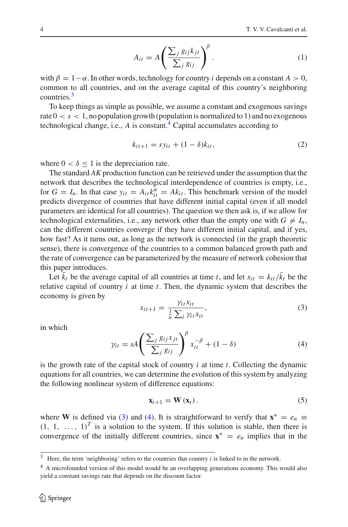$$
A_{it} = A \left( \frac{\sum_{j} g_{ij} k_{jt}}{\sum_{j} g_{ij}} \right)^{\beta}.
$$
 (1)

with  $\beta = 1 - \alpha$ . In other words, technology for country *i* depends on a constant  $A > 0$ , common to all countries, and on the average capital of this country's neighboring countries[.3](#page-4-0)

To keep things as simple as possible, we assume a constant and exogenous savings rate  $0 < s < 1$ , no population growth (population is normalized to 1) and no exogenous technological change, i.e.,  $A$  is constant.<sup>[4](#page-4-1)</sup> Capital accumulates according to

$$
k_{it+1} = sy_{it} + (1 - \delta)k_{it},
$$
 (2)

where  $0 < \delta \leq 1$  is the depreciation rate.

The standard *AK* production function can be retrieved under the assumption that the network that describes the technological interdependence of countries is empty, i.e., for  $G = I_n$ . In that case  $y_{it} = A_{it} k_{it}^{\alpha} = Ak_{it}$ . This benchmark version of the model predicts divergence of countries that have different initial capital (even if all model parameters are identical for all countries). The question we then ask is, if we allow for technological externalities, i.e., any network other than the empty one with  $G \neq I_n$ , can the different countries converge if they have different initial capital, and if yes, how fast? As it turns out, as long as the network is connected (in the graph theoretic sense), there is convergence of the countries to a common balanced growth path and the rate of convergence can be parameterized by the measure of network cohesion that this paper introduces.

Let  $k_t$  be the average capital of all countries at time *t*, and let  $x_{it} = k_{it}/k_t$  be the relative capital of country *i* at time *t*. Then, the dynamic system that describes the economy is given by

$$
x_{it+1} = \frac{\gamma_{it} x_{it}}{\frac{1}{n} \sum_{i} \gamma_{it} x_{it}},
$$
\n(3)

<span id="page-4-3"></span>in which

<span id="page-4-2"></span>
$$
\gamma_{it} = sA \left( \frac{\sum_{j} g_{ij} x_{jt}}{\sum_{j} g_{ij}} \right)^{\beta} x_{it}^{-\beta} + (1 - \delta) \tag{4}
$$

is the growth rate of the capital stock of country *i* at time *t*. Collecting the dynamic equations for all countries, we can determine the evolution of this system by analyzing the following nonlinear system of difference equations:

$$
\mathbf{x}_{t+1} = \mathbf{W}(\mathbf{x}_t). \tag{5}
$$

<span id="page-4-4"></span>where **W** is defined via [\(3\)](#page-4-2) and [\(4\)](#page-4-3). It is straightforward to verify that  $\mathbf{x}^* = e_n \equiv$  $(1, 1, \ldots, 1)^T$  is a solution to the system. If this solution is stable, then there is convergence of the initially different countries, since  $\mathbf{x}^* = e_n$  implies that in the

<sup>&</sup>lt;sup>3</sup> Here, the term 'neighboring' refers to the countries that country *i* is linked to in the network.

<span id="page-4-1"></span><span id="page-4-0"></span><sup>&</sup>lt;sup>4</sup> A microfounded version of this model would be an overlapping generations economy. This would also yield a constant savings rate that depends on the discount factor.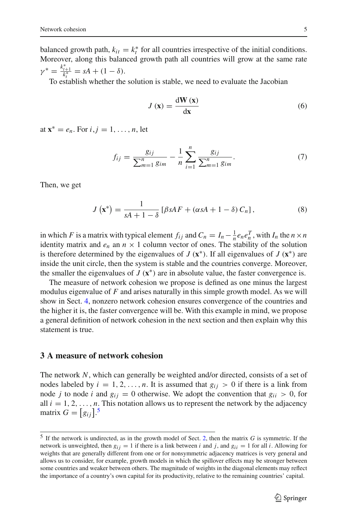balanced growth path,  $k_{it} = k_t^*$  for all countries irrespective of the initial conditions. Moreover, along this balanced growth path all countries will grow at the same rate  $\gamma^* = \frac{k_{t+1}^*}{k_t^*} = sA + (1 - \delta).$ 

To establish whether the solution is stable, we need to evaluate the Jacobian

$$
J\left(\mathbf{x}\right) = \frac{\mathrm{d}\mathbf{W}\left(\mathbf{x}\right)}{\mathrm{d}\mathbf{x}}\tag{6}
$$

at  $\mathbf{x}^* = e_n$ . For  $i, j = 1, \ldots, n$ , let

$$
f_{ij} = \frac{g_{ij}}{\sum_{m=1}^{n} g_{im}} - \frac{1}{n} \sum_{i=1}^{n} \frac{g_{ij}}{\sum_{m=1}^{n} g_{im}}.
$$
 (7)

Then, we get

$$
J\left(\mathbf{x}^*\right) = \frac{1}{sA + 1 - \delta} \left[\beta sA F + (\alpha sA + 1 - \delta) C_n\right],\tag{8}
$$

in which *F* is a matrix with typical element  $f_{ij}$  and  $C_n = I_n - \frac{1}{n} e_n e_n^T$ , with  $I_n$  the  $n \times n$ identity matrix and  $e_n$  an  $n \times 1$  column vector of ones. The stability of the solution is therefore determined by the eigenvalues of  $J(\mathbf{x}^*)$ . If all eigenvalues of  $J(\mathbf{x}^*)$  are inside the unit circle, then the system is stable and the countries converge. Moreover, the smaller the eigenvalues of  $J(\mathbf{x}^*)$  are in absolute value, the faster convergence is.

The measure of network cohesion we propose is defined as one minus the largest modulus eigenvalue of *F* and arises naturally in this simple growth model. As we will show in Sect. [4,](#page-10-0) nonzero network cohesion ensures convergence of the countries and the higher it is, the faster convergence will be. With this example in mind, we propose a general definition of network cohesion in the next section and then explain why this statement is true.

### <span id="page-5-1"></span>**3 A measure of network cohesion**

The network *N*, which can generally be weighted and/or directed, consists of a set of nodes labeled by  $i = 1, 2, ..., n$ . It is assumed that  $g_{ij} > 0$  if there is a link from node *j* to node *i* and  $g_{ij} = 0$  otherwise. We adopt the convention that  $g_{ii} > 0$ , for all  $i = 1, 2, \ldots, n$ . This notation allows us to represent the network by the adjacency matrix  $G = [g_{ij}]$ .<sup>[5](#page-5-0)</sup>

<span id="page-5-0"></span><sup>5</sup> If the network is undirected, as in the growth model of Sect. [2,](#page-3-1) then the matrix *G* is symmetric. If the network is unweighted, then  $g_{ij} = 1$  if there is a link between *i* and *j*, and  $g_{ii} = 1$  for all *i*. Allowing for weights that are generally different from one or for nonsymmetric adjacency matrices is very general and allows us to consider, for example, growth models in which the spillover effects may be stronger between some countries and weaker between others. The magnitude of weights in the diagonal elements may reflect the importance of a country's own capital for its productivity, relative to the remaining countries' capital.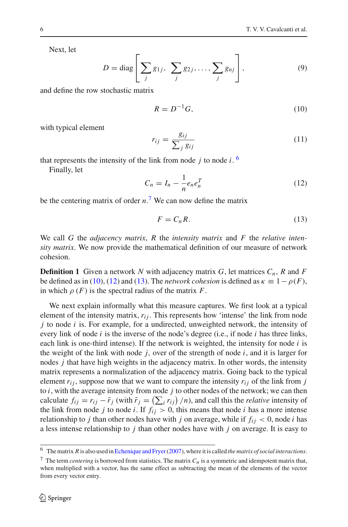<span id="page-6-5"></span>Next, let

<span id="page-6-2"></span>
$$
D = \text{diag}\left[\sum_{j} g_{1j}, \sum_{j} g_{2j}, \dots, \sum_{j} g_{nj}\right],\tag{9}
$$

and define the row stochastic matrix

$$
R = D^{-1}G,\tag{10}
$$

with typical element

$$
r_{ij} = \frac{g_{ij}}{\sum_{j} g_{ij}}\tag{11}
$$

that represents the intensity of the link from node  $j$  to node  $i$ .

<span id="page-6-3"></span>Finally, let

$$
C_n = I_n - \frac{1}{n} e_n e_n^T \tag{12}
$$

be the centering matrix of order *n*. [7](#page-6-1) We can now define the matrix

<span id="page-6-4"></span>
$$
F = C_n R. \tag{13}
$$

We call *G* the *adjacency matrix*, *R* the *intensity matrix* and *F* the *relative intensity matrix*. We now provide the mathematical definition of our measure of network cohesion.

**Definition 1** Given a network *N* with adjacency matrix *G*, let matrices  $C_n$ , *R* and *F* be defined as in [\(10\)](#page-6-2), [\(12\)](#page-6-3) and [\(13\)](#page-6-4). The *network cohesion* is defined as  $\kappa \equiv 1 - \rho(F)$ , in which  $\rho(F)$  is the spectral radius of the matrix *F*.

We next explain informally what this measure captures. We first look at a typical element of the intensity matrix,  $r_{ij}$ . This represents how 'intense' the link from node *j* to node *i* is. For example, for a undirected, unweighted network, the intensity of every link of node *i* is the inverse of the node's degree (i.e., if node *i* has three links, each link is one-third intense). If the network is weighted, the intensity for node *i* is the weight of the link with node  $j$ , over of the strength of node  $i$ , and it is larger for nodes *j* that have high weights in the adjacency matrix. In other words, the intensity matrix represents a normalization of the adjacency matrix. Going back to the typical element  $r_{i,j}$ , suppose now that we want to compare the intensity  $r_{i,j}$  of the link from *j* to *i*, with the average intensity from node *j* to other nodes of the network; we can then calculate  $f_{ij} = r_{ij} - \bar{r}_j$  (with  $\bar{r}_j = \left(\sum_i r_{ij}\right)/n$ ), and call this the *relative* intensity of the link from node *j* to node *i*. If  $f_{ij} > 0$ , this means that node *i* has a more intense relationship to *j* than other nodes have with *j* on average, while if  $f_{ij} < 0$ , node *i* has a less intense relationship to *j* than other nodes have with *j* on average. It is easy to

 $6$  The matrix *R* is also used in Echenique and Fryer (2007), where it is called *the matrix of social interactions*.

<span id="page-6-1"></span><span id="page-6-0"></span> $<sup>7</sup>$  The term *centering* is borrowed from statistics. The matrix  $C<sub>n</sub>$  is a symmetric and idempotent matrix that,</sup> when multiplied with a vector, has the same effect as subtracting the mean of the elements of the vector from every vector entry.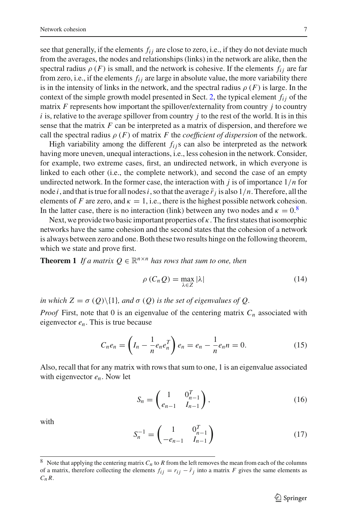see that generally, if the elements  $f_{ij}$  are close to zero, i.e., if they do not deviate much from the averages, the nodes and relationships (links) in the network are alike, then the spectral radius  $\rho(F)$  is small, and the network is cohesive. If the elements  $f_{ij}$  are far from zero, i.e., if the elements  $f_{ij}$  are large in absolute value, the more variability there is in the intensity of links in the network, and the spectral radius  $\rho(F)$  is large. In the context of the simple growth model presented in Sect. [2,](#page-3-1) the typical element  $f_{ij}$  of the matrix *F* represents how important the spillover/externality from country *j* to country *i* is, relative to the average spillover from country *j* to the rest of the world. It is in this sense that the matrix *F* can be interpreted as a matrix of dispersion, and therefore we call the spectral radius  $\rho(F)$  of matrix *F* the *coefficient of dispersion* of the network.

High variability among the different  $f_{ij}$ s can also be interpreted as the network having more uneven, unequal interactions, i.e., less cohesion in the network. Consider, for example, two extreme cases, first, an undirected network, in which everyone is linked to each other (i.e., the complete network), and second the case of an empty undirected network. In the former case, the interaction with  $j$  is of importance  $1/n$  for node *i*, and that is true for all nodes *i*, so that the average  $\bar{r}_i$  is also  $1/n$ . Therefore, all the elements of *F* are zero, and  $\kappa = 1$ , i.e., there is the highest possible network cohesion. In the latter case, there is no interaction (link) between any two nodes and  $\kappa = 0.8$  $\kappa = 0.8$ 

Next, we provide two basic important properties of  $\kappa$ . The first states that isomorphic networks have the same cohesion and the second states that the cohesion of a network is always between zero and one. Both these two results hinge on the following theorem, which we state and prove first.

<span id="page-7-1"></span>**Theorem 1** *If a matrix*  $O \in \mathbb{R}^{n \times n}$  *has rows that sum to one, then* 

$$
\rho(C_n Q) = \max_{\lambda \in Z} |\lambda| \tag{14}
$$

*in which*  $Z = \sigma(Q) \setminus \{1\}$ *, and*  $\sigma(Q)$  *is the set of eigenvalues of Q.* 

*Proof* First, note that 0 is an eigenvalue of the centering matrix  $C_n$  associated with eigenvector *en*. This is true because

$$
C_n e_n = \left(I_n - \frac{1}{n} e_n e_n^T\right) e_n = e_n - \frac{1}{n} e_n n = 0.
$$
 (15)

Also, recall that for any matrix with rows that sum to one, 1 is an eigenvalue associated with eigenvector *en*. Now let

$$
S_n = \begin{pmatrix} 1 & 0_{n-1}^T \\ e_{n-1} & I_{n-1} \end{pmatrix},
$$
 (16)

<span id="page-7-2"></span>with

$$
S_n^{-1} = \begin{pmatrix} 1 & 0_{n-1}^T \\ -e_{n-1} & I_{n-1} \end{pmatrix}
$$
 (17)

<span id="page-7-0"></span><sup>&</sup>lt;sup>8</sup> Note that applying the centering matrix  $C_n$  to  $R$  from the left removes the mean from each of the columns of a matrix, therefore collecting the elements  $f_{ij} = r_{ij} - \bar{r}_j$  into a matrix *F* gives the same elements as  $C_nR$ .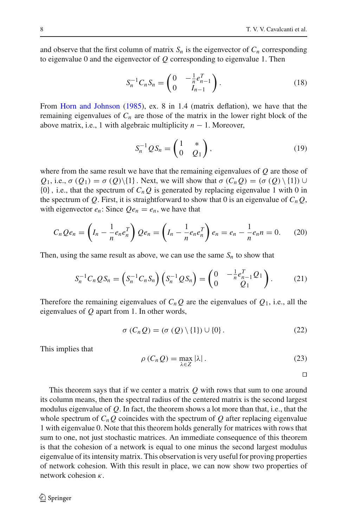and observe that the first column of matrix  $S_n$  is the eigenvector of  $C_n$  corresponding to eigenvalue 0 and the eigenvector of *Q* corresponding to eigenvalue 1. Then

$$
S_n^{-1}C_nS_n = \begin{pmatrix} 0 & -\frac{1}{n}e_{n-1}^T \\ 0 & I_{n-1} \end{pmatrix}.
$$
 (18)

From [Horn and Johnson](#page-21-10) [\(1985\)](#page-21-10), ex. 8 in 1.4 (matrix deflation), we have that the remaining eigenvalues of  $C_n$  are those of the matrix in the lower right block of the above matrix, i.e., 1 with algebraic multiplicity  $n - 1$ . Moreover,

$$
S_n^{-1} \mathcal{Q} S_n = \begin{pmatrix} 1 & * \\ 0 & \mathcal{Q}_1 \end{pmatrix},\tag{19}
$$

where from the same result we have that the remaining eigenvalues of *Q* are those of  $Q_1$ , i.e.,  $\sigma(Q_1) = \sigma(Q)\setminus\{1\}$ . Next, we will show that  $\sigma(C_nQ) = (\sigma(Q)\setminus\{1\}) \cup$  $\{0\}$ , i.e., that the spectrum of  $C_n Q$  is generated by replacing eigenvalue 1 with 0 in the spectrum of  $Q$ . First, it is straightforward to show that 0 is an eigenvalue of  $C_n Q$ , with eigenvector  $e_n$ : Since  $Qe_n = e_n$ , we have that

$$
C_n Q e_n = \left( I_n - \frac{1}{n} e_n e_n^T \right) Q e_n = \left( I_n - \frac{1}{n} e_n e_n^T \right) e_n = e_n - \frac{1}{n} e_n n = 0. \tag{20}
$$

Then, using the same result as above, we can use the same  $S_n$  to show that

$$
S_n^{-1}C_nQS_n = \left(S_n^{-1}C_nS_n\right)\left(S_n^{-1}QS_n\right) = \begin{pmatrix} 0 & -\frac{1}{n}e_{n-1}^TQ_1 \\ 0 & Q_1 \end{pmatrix}.
$$
 (21)

Therefore the remaining eigenvalues of  $C_n Q$  are the eigenvalues of  $Q_1$ , i.e., all the eigenvalues of *Q* apart from 1. In other words,

$$
\sigma(C_n Q) = (\sigma(Q) \setminus \{1\}) \cup \{0\}.
$$
 (22)

This implies that

$$
\rho(C_n Q) = \max_{\lambda \in Z} |\lambda|.
$$
\n(23)

 $\Box$ 

<span id="page-8-0"></span>This theorem says that if we center a matrix *Q* with rows that sum to one around its column means, then the spectral radius of the centered matrix is the second largest modulus eigenvalue of *Q*. In fact, the theorem shows a lot more than that, i.e., that the whole spectrum of  $C_n Q$  coincides with the spectrum of  $Q$  after replacing eigenvalue 1 with eigenvalue 0. Note that this theorem holds generally for matrices with rows that sum to one, not just stochastic matrices. An immediate consequence of this theorem is that the cohesion of a network is equal to one minus the second largest modulus eigenvalue of its intensity matrix. This observation is very useful for proving properties of network cohesion. With this result in place, we can now show two properties of network cohesion  $\kappa$ .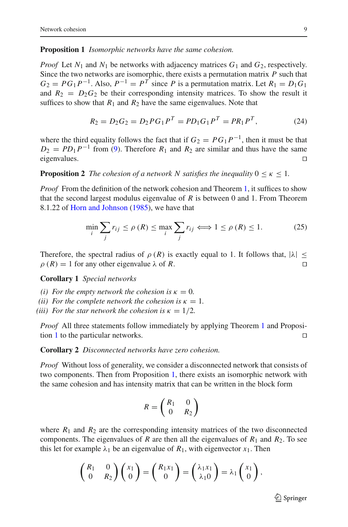#### **Proposition 1** *Isomorphic networks have the same cohesion.*

*Proof* Let  $N_1$  and  $N_1$  be networks with adjacency matrices  $G_1$  and  $G_2$ , respectively. Since the two networks are isomorphic, there exists a permutation matrix *P* such that  $G_2 = PG_1P^{-1}$ . Also,  $P^{-1} = P^T$  since *P* is a permutation matrix. Let  $R_1 = D_1G_1$ and  $R_2 = D_2 G_2$  be their corresponding intensity matrices. To show the result it suffices to show that  $R_1$  and  $R_2$  have the same eigenvalues. Note that

$$
R_2 = D_2 G_2 = D_2 P G_1 P^T = P D_1 G_1 P^T = P R_1 P^T,
$$
\n(24)

where the third equality follows the fact that if  $G_2 = PG_1P^{-1}$ , then it must be that  $D_2 = PD_1P^{-1}$  from [\(9\)](#page-6-5). Therefore  $R_1$  and  $R_2$  are similar and thus have the same eigenvalues. eigenvalues.

#### <span id="page-9-0"></span>**Proposition 2** *The cohesion of a network N satisfies the inequality*  $0 \le \kappa \le 1$ *.*

*Proof* From the definition of the network cohesion and Theorem [1,](#page-7-1) it suffices to show that the second largest modulus eigenvalue of *R* is between 0 and 1. From Theorem 8.1.22 of [Horn and Johnson](#page-21-10) [\(1985](#page-21-10)), we have that

$$
\min_{i} \sum_{j} r_{ij} \le \rho(R) \le \max_{i} \sum_{j} r_{ij} \iff 1 \le \rho(R) \le 1. \tag{25}
$$

Therefore, the spectral radius of  $\rho(R)$  is exactly equal to 1. It follows that,  $|\lambda| \le \rho(R) = 1$  for any other eigenvalue  $\lambda$  of R  $\rho$  (*R*) = 1 for any other eigenvalue  $\lambda$  of *R*.

<span id="page-9-1"></span>**Corollary 1** *Special networks*

- *(i)* For the empty network the cohesion is  $\kappa = 0$ .
- *(ii)* For the complete network the cohesion is  $\kappa = 1$ .
- *(iii)* For the star network the cohesion is  $\kappa = 1/2$ .

*Proof* All three statements follow immediately by applying Theorem [1](#page-7-1) and Proposi-tion [1](#page-8-0) to the particular networks.

**Corollary 2** *Disconnected networks have zero cohesion.*

*Proof* Without loss of generality, we consider a disconnected network that consists of two components. Then from Proposition [1,](#page-8-0) there exists an isomorphic network with the same cohesion and has intensity matrix that can be written in the block form

$$
R = \begin{pmatrix} R_1 & 0 \\ 0 & R_2 \end{pmatrix}
$$

where  $R_1$  and  $R_2$  are the corresponding intensity matrices of the two disconnected components. The eigenvalues of *R* are then all the eigenvalues of  $R_1$  and  $R_2$ . To see this let for example  $\lambda_1$  be an eigenvalue of  $R_1$ , with eigenvector  $x_1$ . Then

$$
\begin{pmatrix} R_1 & 0 \\ 0 & R_2 \end{pmatrix} \begin{pmatrix} x_1 \\ 0 \end{pmatrix} = \begin{pmatrix} R_1 x_1 \\ 0 \end{pmatrix} = \begin{pmatrix} \lambda_1 x_1 \\ \lambda_1 0 \end{pmatrix} = \lambda_1 \begin{pmatrix} x_1 \\ 0 \end{pmatrix},
$$

<sup>6</sup>∕2 Springer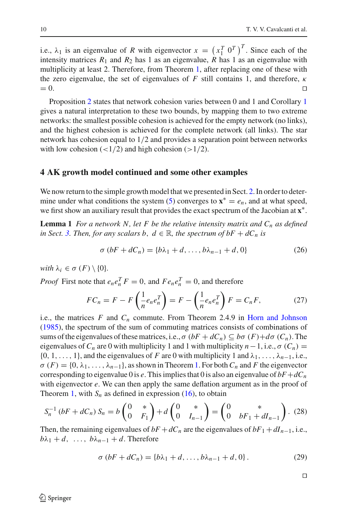i.e.,  $\lambda_1$  is an eigenvalue of *R* with eigenvector  $x = (x_1^T \ 0^T)^T$ . Since each of the intensity matrices  $R_1$  and  $R_2$  has 1 as an eigenvalue,  $\overline{R}$  has 1 as an eigenvalue with multiplicity at least 2. Therefore, from Theorem [1,](#page-7-1) after replacing one of these with the zero eigenvalue, the set of eigenvalues of  $F$  still contains 1, and therefore,  $\kappa$  $= 0.$ 

Proposition [2](#page-9-0) states that network cohesion varies between 0 and 1 and Corollary [1](#page-9-1) gives a natural interpretation to these two bounds, by mapping them to two extreme networks: the smallest possible cohesion is achieved for the empty network (no links), and the highest cohesion is achieved for the complete network (all links). The star network has cohesion equal to 1/2 and provides a separation point between networks with low cohesion  $\left(\frac{1}{2}\right)$  and high cohesion  $\left(\frac{1}{2}\right)$ .

#### <span id="page-10-0"></span>**4 AK growth model continued and some other examples**

We now return to the simple growth model that we presented in Sect. [2.](#page-3-1) In order to deter-mine under what conditions the system [\(5\)](#page-4-4) converges to  $\mathbf{x}^* = e_n$ , and at what speed, we first show an auxiliary result that provides the exact spectrum of the Jacobian at **x**∗.

<span id="page-10-1"></span>**Lemma 1** *For a network N, let F be the relative intensity matrix and*  $C_n$  *as defined in Sect. [3.](#page-5-1) Then, for any scalars b,*  $d \in \mathbb{R}$ *, the spectrum of*  $bF + dC_n$  *is* 

$$
\sigma (bF + dC_n) = \{b\lambda_1 + d, \dots, b\lambda_{n-1} + d, 0\}
$$
 (26)

*with*  $\lambda_i \in \sigma(F) \setminus \{0\}.$ 

*Proof* First note that  $e_n e_n^T F = 0$ , and  $F e_n e_n^T = 0$ , and therefore

$$
FC_n = F - F\left(\frac{1}{n}e_n e_n^T\right) = F - \left(\frac{1}{n}e_n e_n^T\right)F = C_n F,\tag{27}
$$

i.e., the matrices  $F$  and  $C_n$  commute. From Theorem 2.4.9 in [Horn and Johnson](#page-21-10) [\(1985\)](#page-21-10), the spectrum of the sum of commuting matrices consists of combinations of sums of the eigenvalues of these matrices, i.e.,  $\sigma$  ( $bF + dC_n$ )  $\subseteq$   $b\sigma$  ( $F$ )+ $d\sigma$  ( $C_n$ ). The eigenvalues of  $C_n$  are 0 with multiplicity 1 and 1 with multiplicity  $n-1$ , i.e.,  $\sigma(C_n)$  =  $\{0, 1, \ldots, 1\}$ , and the eigenvalues of *F* are 0 with multiplicity 1 and  $\lambda_1, \ldots, \lambda_{n-1}$ , i.e.,  $\sigma(F) = \{0, \lambda_1, \ldots, \lambda_{n-1}\}\$ , as shown in Theorem [1.](#page-7-1) For both  $C_n$  and F the eigenvector corresponding to eigenvalue 0 is *e*. This implies that 0 is also an eigenvalue of  $bF+dC_n$ with eigenvector *e*. We can then apply the same deflation argument as in the proof of Theorem [1,](#page-7-1) with  $S_n$  as defined in expression [\(16\)](#page-7-2), to obtain

$$
S_n^{-1} (bF + dC_n) S_n = b \begin{pmatrix} 0 & * \\ 0 & F_1 \end{pmatrix} + d \begin{pmatrix} 0 & * \\ 0 & I_{n-1} \end{pmatrix} = \begin{pmatrix} 0 & * \\ 0 & bF_1 + dI_{n-1} \end{pmatrix}.
$$
 (28)

Then, the remaining eigenvalues of  $bF + dC_n$  are the eigenvalues of  $bF_1 + dI_{n-1}$ , i.e.,  $b\lambda_1 + d$ , ...,  $b\lambda_{n-1} + d$ . Therefore

$$
\sigma (bF + dC_n) = \{b\lambda_1 + d, \dots, b\lambda_{n-1} + d, 0\}.
$$
 (29)

 $\Box$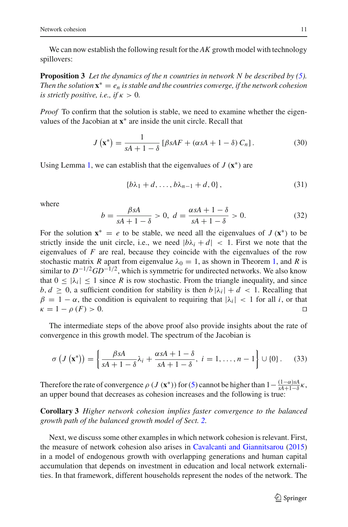<span id="page-11-0"></span>We can now establish the following result for the *AK* growth model with technology spillovers:

**Proposition 3** *Let the dynamics of the n countries in network N be described by [\(5\)](#page-4-4). Then the solution*  $\mathbf{x}^* = e_n$  *is stable and the countries converge, if the network cohesion is strictly positive, i.e., if*  $\kappa > 0$ *.* 

*Proof* To confirm that the solution is stable, we need to examine whether the eigenvalues of the Jacobian at **x**∗ are inside the unit circle. Recall that

$$
J\left(\mathbf{x}^*\right) = \frac{1}{sA + 1 - \delta} \left[ \beta sA F + (\alpha sA + 1 - \delta) C_n \right].\tag{30}
$$

Using Lemma [1,](#page-10-1) we can establish that the eigenvalues of  $J(\mathbf{x}^*)$  are

$$
\{b\lambda_1 + d, \dots, b\lambda_{n-1} + d, 0\},\tag{31}
$$

where

$$
b = \frac{\beta sA}{sA + 1 - \delta} > 0, \ d = \frac{\alpha sA + 1 - \delta}{sA + 1 - \delta} > 0.
$$
 (32)

For the solution  $x^* = e$  to be stable, we need all the eigenvalues of *J* ( $x^*$ ) to be strictly inside the unit circle, i.e., we need  $|b\lambda_i + d| < 1$ . First we note that the eigenvalues of *F* are real, because they coincide with the eigenvalues of the row stochastic matrix *R* apart from eigenvalue  $\lambda_0 = 1$ , as shown in Theorem [1,](#page-7-1) and *R* is similar to  $D^{-1/2}GD^{-1/2}$ , which is symmetric for undirected networks. We also know that  $0 \leq |\lambda_i| \leq 1$  since *R* is row stochastic. From the triangle inequality, and since  $b, d \ge 0$ , a sufficient condition for stability is then  $b | \lambda_i | + d < 1$ . Recalling that  $β = 1 - α$ , the condition is equivalent to requiring that  $|λ<sub>i</sub>| < 1$  for all *i*, or that  $κ = 1 - ρ(F) > 0$  $\kappa = 1 - \rho(F) > 0.$ 

The intermediate steps of the above proof also provide insights about the rate of convergence in this growth model. The spectrum of the Jacobian is

$$
\sigma\left(J\left(\mathbf{x}^*\right)\right) = \left\{\frac{\beta sA}{sA+1-\delta}\lambda_i + \frac{\alpha sA+1-\delta}{sA+1-\delta}, \ i = 1, \dots, n-1\right\} \cup \{0\}.
$$
 (33)

Therefore the rate of convergence  $\rho$  (*J* (**x**<sup>\*</sup>)) for [\(5\)](#page-4-4) cannot be higher than  $1 - \frac{(1-\alpha)sA}{sA+1-\delta} \kappa$ , an upper bound that decreases as cohesion increases and the following is true:

**Corollary 3** *Higher network cohesion implies faster convergence to the balanced growth path of the balanced growth model of Sect. [2.](#page-3-1)*

Next, we discuss some other examples in which network cohesion is relevant. First, the measure of network cohesion also arises in [Cavalcanti and Giannitsarou](#page-21-6) [\(2015\)](#page-21-6) in a model of endogenous growth with overlapping generations and human capital accumulation that depends on investment in education and local network externalities. In that framework, different households represent the nodes of the network. The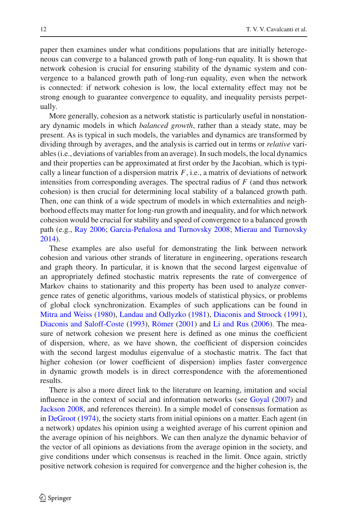paper then examines under what conditions populations that are initially heterogeneous can converge to a balanced growth path of long-run equality. It is shown that network cohesion is crucial for ensuring stability of the dynamic system and convergence to a balanced growth path of long-run equality, even when the network is connected: if network cohesion is low, the local externality effect may not be strong enough to guarantee convergence to equality, and inequality persists perpetually.

More generally, cohesion as a network statistic is particularly useful in nonstationary dynamic models in which *balanced growth*, rather than a steady state, may be present. As is typical in such models, the variables and dynamics are transformed by dividing through by averages, and the analysis is carried out in terms or *relative* variables (i.e., deviations of variables from an average). In such models, the local dynamics and their properties can be approximated at first order by the Jacobian, which is typically a linear function of a dispersion matrix *F*, i.e., a matrix of deviations of network intensities from corresponding averages. The spectral radius of *F* (and thus network cohesion) is then crucial for determining local stability of a balanced growth path. Then, one can think of a wide spectrum of models in which externalities and neighborhood effects may matter for long-run growth and inequality, and for which network cohesion would be crucial for stability and speed of convergence to a balanced growth path (e.g., [Ray 2006](#page-21-11); [Garcia-Peñalosa and Turnovsky 2008](#page-21-12); [Mierau and Turnovsky](#page-21-13) [2014\)](#page-21-13).

These examples are also useful for demonstrating the link between network cohesion and various other strands of literature in engineering, operations research and graph theory. In particular, it is known that the second largest eigenvalue of an appropriately defined stochastic matrix represents the rate of convergence of Markov chains to stationarity and this property has been used to analyze convergence rates of genetic algorithms, various models of statistical physics, or problems of global clock synchronization. Examples of such applications can be found in [Mitra and Weiss](#page-21-14) [\(1980](#page-21-14)), [Landau and Odlyzko](#page-21-15) [\(1981](#page-21-15)), [Diaconis and Stroock](#page-21-16) [\(1991](#page-21-16)), [Diaconis and Saloff-Coste](#page-21-17) [\(1993](#page-21-17)), [Römer](#page-21-18) [\(2001\)](#page-21-18) and [Li and Rus](#page-21-19) [\(2006\)](#page-21-19). The measure of network cohesion we present here is defined as one minus the coefficient of dispersion, where, as we have shown, the coefficient of dispersion coincides with the second largest modulus eigenvalue of a stochastic matrix. The fact that higher cohesion (or lower coefficient of dispersion) implies faster convergence in dynamic growth models is in direct correspondence with the aforementioned results.

There is also a more direct link to the literature on learning, imitation and social influence in the context of social and information networks (see [Goyal](#page-21-4) [\(2007\)](#page-21-4) and [Jackson 2008](#page-21-5), and references therein). In a simple model of consensus formation as in [DeGroot](#page-21-20) [\(1974](#page-21-20)), the society starts from initial opinions on a matter. Each agent (in a network) updates his opinion using a weighted average of his current opinion and the average opinion of his neighbors. We can then analyze the dynamic behavior of the vector of all opinions as deviations from the average opinion in the society, and give conditions under which consensus is reached in the limit. Once again, strictly positive network cohesion is required for convergence and the higher cohesion is, the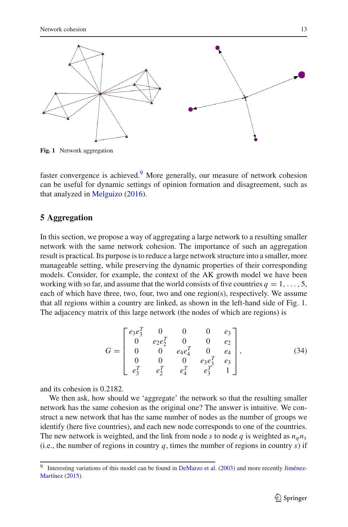

<span id="page-13-1"></span>**Fig. 1** Network aggregation

faster convergence is achieved. $9$  More generally, our measure of network cohesion can be useful for dynamic settings of opinion formation and disagreement, such as that analyzed in [Melguizo](#page-21-21) [\(2016](#page-21-21)).

#### **5 Aggregation**

In this section, we propose a way of aggregating a large network to a resulting smaller network with the same network cohesion. The importance of such an aggregation result is practical. Its purpose is to reduce a large network structure into a smaller, more manageable setting, while preserving the dynamic properties of their corresponding models. Consider, for example, the context of the AK growth model we have been working with so far, and assume that the world consists of five countries  $q = 1, \ldots, 5$ , each of which have three, two, four, two and one region(s), respectively. We assume that all regions within a country are linked, as shown in the left-hand side of Fig. [1.](#page-13-1) The adjacency matrix of this large network (the nodes of which are regions) is

$$
G = \begin{bmatrix} e_3 e_3^T & 0 & 0 & 0 & e_3 \\ 0 & e_2 e_2^T & 0 & 0 & e_2 \\ 0 & 0 & e_4 e_4^T & 0 & e_4 \\ 0 & 0 & 0 & e_3 e_3^T & e_3 \\ e_3^T & e_2^T & e_4^T & e_3^T & 1 \end{bmatrix},
$$
(34)

<span id="page-13-2"></span>and its cohesion is 0.2182.

We then ask, how should we 'aggregate' the network so that the resulting smaller network has the same cohesion as the original one? The answer is intuitive. We construct a new network that has the same number of nodes as the number of groups we identify (here five countries), and each new node corresponds to one of the countries. The new network is weighted, and the link from node *s* to node *q* is weighted as  $n_q n_s$ (i.e., the number of regions in country  $q$ , times the number of regions in country  $s$ ) if

<span id="page-13-0"></span><sup>9</sup> Intere[sting](#page-21-23) [variations](#page-21-23) [of](#page-21-23) [this](#page-21-23) [model](#page-21-23) [can](#page-21-23) [be](#page-21-23) [found](#page-21-23) [in](#page-21-23) [DeMarzo et al.](#page-21-22) [\(2003\)](#page-21-22) and more recently Jiménez-Martínez [\(2015](#page-21-23)).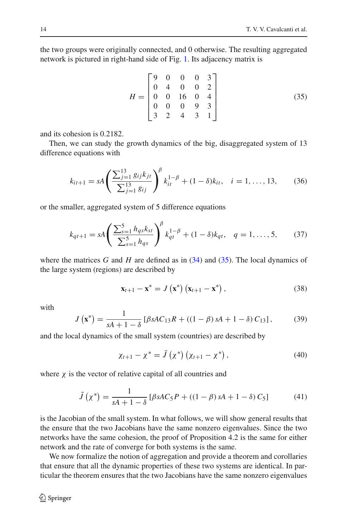the two groups were originally connected, and 0 otherwise. The resulting aggregated network is pictured in right-hand side of Fig. [1.](#page-13-1) Its adjacency matrix is

$$
H = \begin{bmatrix} 9 & 0 & 0 & 0 & 3 \\ 0 & 4 & 0 & 0 & 2 \\ 0 & 0 & 16 & 0 & 4 \\ 0 & 0 & 0 & 9 & 3 \\ 3 & 2 & 4 & 3 & 1 \end{bmatrix}
$$
(35)

<span id="page-14-0"></span>and its cohesion is 0.2182.

Then, we can study the growth dynamics of the big, disaggregated system of 13 difference equations with

$$
k_{it+1} = sA \left( \frac{\sum_{j=1}^{13} g_{ij} k_{jt}}{\sum_{j=1}^{13} g_{ij}} \right)^{\beta} k_{it}^{1-\beta} + (1-\delta) k_{it}, \quad i = 1, ..., 13, \tag{36}
$$

or the smaller, aggregated system of 5 difference equations

$$
k_{qt+1} = sA \left( \frac{\sum_{s=1}^{5} h_{qs} k_{st}}{\sum_{s=1}^{5} h_{qs}} \right)^{\beta} k_{qt}^{1-\beta} + (1-\delta) k_{qt}, \quad q = 1, \dots, 5, \tag{37}
$$

where the matrices  $G$  and  $H$  are defined as in  $(34)$  and  $(35)$ . The local dynamics of the large system (regions) are described by

$$
\mathbf{x}_{t+1} - \mathbf{x}^* = J\left(\mathbf{x}^*\right)\left(\mathbf{x}_{t+1} - \mathbf{x}^*\right),\tag{38}
$$

with

$$
J\left(\mathbf{x}^*\right) = \frac{1}{sA + 1 - \delta} \left[ \beta sAC_{13}R + \left( (1 - \beta) sA + 1 - \delta \right) C_{13} \right],\tag{39}
$$

and the local dynamics of the small system (countries) are described by

$$
\chi_{t+1} - \chi^* = \tilde{J}\left(\chi^*\right)\left(\chi_{t+1} - \chi^*\right),\tag{40}
$$

where  $\chi$  is the vector of relative capital of all countries and

$$
\tilde{J}\left(\chi^*\right) = \frac{1}{sA + 1 - \delta} \left[ \beta s A C_5 P + \left( (1 - \beta) sA + 1 - \delta \right) C_5 \right] \tag{41}
$$

is the Jacobian of the small system. In what follows, we will show general results that the ensure that the two Jacobians have the same nonzero eigenvalues. Since the two networks have the same cohesion, the proof of Proposition 4.2 is the same for either network and the rate of converge for both systems is the same.

We now formalize the notion of aggregation and provide a theorem and corollaries that ensure that all the dynamic properties of these two systems are identical. In particular the theorem ensures that the two Jacobians have the same nonzero eigenvalues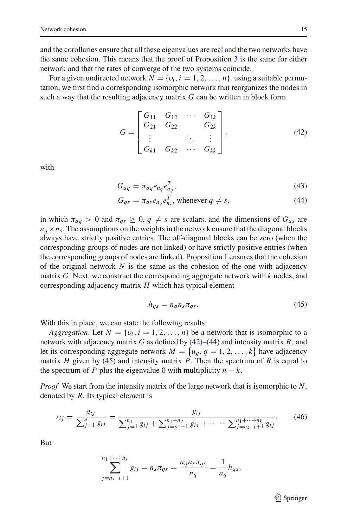and the corollaries ensure that all these eigenvalues are real and the two networks have the same cohesion. This means that the proof of Proposition [3](#page-11-0) is the same for either network and that the rates of converge of the two systems coincide.

For a given undirected network  $N = \{v_i, i = 1, 2, \ldots, n\}$ , using a suitable permutation, we first find a corresponding isomorphic network that reorganizes the nodes in such a way that the resulting adjacency matrix *G* can be written in block form

$$
G = \begin{bmatrix} G_{11} & G_{12} & \cdots & G_{1k} \\ G_{21} & G_{22} & & G_{2k} \\ \vdots & & \ddots & \vdots \\ G_{k1} & G_{k2} & \cdots & G_{kk} \end{bmatrix},
$$
(42)

<span id="page-15-1"></span><span id="page-15-0"></span>with

$$
G_{qq} = \pi_{qq} e_{n_q} e_{n_q}^T,\tag{43}
$$

$$
G_{qs} = \pi_{qs} e_{n_q} e_{n_s}^T, \text{ whenever } q \neq s,
$$
 (44)

in which  $\pi_{qq} > 0$  and  $\pi_{qs} \geq 0$ ,  $q \neq s$  are scalars, and the dimensions of  $G_{qs}$  are  $n_a \times n_s$ . The assumptions on the weights in the network ensure that the diagonal blocks always have strictly positive entries. The off-diagonal blocks can be zero (when the corresponding groups of nodes are not linked) or have strictly positive entries (when the corresponding groups of nodes are linked). Proposition [1](#page-8-0) ensures that the cohesion of the original network *N* is the same as the cohesion of the one with adjacency matrix *G*. Next, we construct the corresponding aggregate network with *k* nodes, and corresponding adjacency matrix *H* which has typical element

$$
h_{qs} = n_q n_s \pi_{qs}.
$$
\n<sup>(45)</sup>

<span id="page-15-2"></span>With this in place, we can state the following results:

*Aggregation*. Let  $N = \{v_i, i = 1, 2, ..., n\}$  be a network that is isomorphic to a network with adjacency matrix *G* as defined by [\(42\)](#page-15-0)–[\(44\)](#page-15-1) and intensity matrix *R*, and let its corresponding aggregate network  $M = \{u_q, q = 1, 2, ..., k\}$  have adjacency matrix *H* given by [\(45\)](#page-15-2) and intensity matrix *P*. Then the spectrum of *R* is equal to the spectrum of *P* plus the eigenvalue 0 with multiplicity  $n - k$ .

*Proof* We start from the intensity matrix of the large network that is isomorphic to *N*, denoted by *R*. Its typical element is

$$
r_{ij} = \frac{g_{ij}}{\sum_{j=1}^{n} g_{ij}} = \frac{g_{ij}}{\sum_{j=1}^{n} g_{ij} + \sum_{j=n_1+1}^{n_1+n_2} g_{ij} + \dots + \sum_{j=n_{k-1}+1}^{n_1+\dots+n_k} g_{ij}}.
$$
(46)

But

$$
\sum_{j=n_{s-1}+1}^{n_1+\cdots+n_s} g_{ij} = n_s \pi_{qs} = \frac{n_q n_s \pi_{qs}}{n_q} = \frac{1}{n_q} h_{qs}.
$$

 $\mathcal{L}$  Springer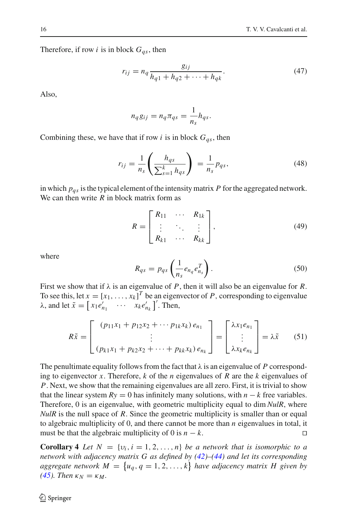Therefore, if row *i* is in block  $G_{qs}$ , then

$$
r_{ij} = n_q \frac{g_{ij}}{h_{q1} + h_{q2} + \dots + h_{qk}}.\tag{47}
$$

Also,

$$
n_q g_{ij} = n_q \pi_{qs} = \frac{1}{n_s} h_{qs}.
$$

Combining these, we have that if row *i* is in block  $G_{as}$ , then

$$
r_{ij} = \frac{1}{n_s} \left( \frac{h_{qs}}{\sum_{s=1}^k h_{qs}} \right) = \frac{1}{n_s} p_{qs},
$$
 (48)

in which *pqs* is the typical element of the intensity matrix *P* for the aggregated network. We can then write  $R$  in block matrix form as

$$
R = \begin{bmatrix} R_{11} & \cdots & R_{1k} \\ \vdots & \ddots & \vdots \\ R_{k1} & \cdots & R_{kk} \end{bmatrix},
$$
 (49)

where

$$
R_{qs} = p_{qs} \left( \frac{1}{n_s} e_{n_q} e_{n_s}^T \right). \tag{50}
$$

First we show that if  $\lambda$  is an eigenvalue of *P*, then it will also be an eigenvalue for *R*. To see this, let  $x = [x_1, \ldots, x_k]^T$  be an eigenvector of *P*, corresponding to eigenvalue  $\lambda$ , and let  $\tilde{x} = \begin{bmatrix} x_1 e'_{n_1} & \cdots & x_k e'_{n_k} \end{bmatrix}'$ . Then,

$$
R\tilde{x} = \begin{bmatrix} (p_{11}x_1 + p_{12}x_2 + \cdots p_{1k}x_k) e_{n_1} \\ \vdots \\ (p_{k1}x_1 + p_{k2}x_2 + \cdots + p_{kk}x_k) e_{n_k} \end{bmatrix} = \begin{bmatrix} \lambda x_1 e_{n_1} \\ \vdots \\ \lambda x_k e_{n_k} \end{bmatrix} = \lambda \tilde{x} \qquad (51)
$$

The penultimate equality follows from the fact that  $\lambda$  is an eigenvalue of P corresponding to eigenvector *x*. Therefore, *k* of the *n* eigenvalues of *R* are the *k* eigenvalues of *P*. Next, we show that the remaining eigenvalues are all zero. First, it is trivial to show that the linear system  $Ry = 0$  has infinitely many solutions, with  $n - k$  free variables. Therefore, 0 is an eigenvalue, with geometric multiplicity equal to dim *NulR*, where *NulR* is the null space of *R*. Since the geometric multiplicity is smaller than or equal to algebraic multiplicity of 0, and there cannot be more than *n* eigenvalues in total, it must be that the algebraic multiplicity of 0 is  $n - k$ .

**Corollary 4** *Let*  $N = \{v_i, i = 1, 2, ..., n\}$  *be a network that is isomorphic to a network with adjacency matrix G as defined by [\(42\)](#page-15-0)–[\(44\)](#page-15-1) and let its corresponding aggregate network*  $M = \{u_q, q = 1, 2, ..., k\}$  have adjacency matrix H given by *[\(45\)](#page-15-2). Then*  $\kappa_N = \kappa_M$ *.*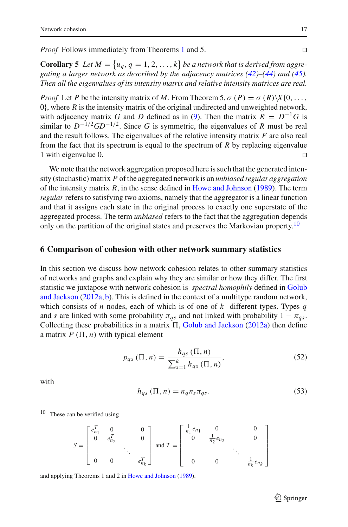*Proof* Follows immediately from Theorems [1](#page-7-1) and 5. □

**Corollary 5** Let  $M = \{u_q, q = 1, 2, \ldots, k\}$  be a network that is derived from aggre*gating a larger network as described by the adjacency matrices [\(42\)](#page-15-0)–[\(44\)](#page-15-1) and [\(45\)](#page-15-2). Then all the eigenvalues of its intensity matrix and relative intensity matrices are real.*

*Proof* Let *P* be the intensity matrix of *M*. From Theorem 5,  $\sigma(P) = \sigma(R)\X\{0, \ldots,$  $0$ }, where  $R$  is the intensity matrix of the original undirected and unweighted network, with adjacency matrix *G* and *D* defined as in [\(9\)](#page-6-5). Then the matrix  $R = D^{-1}G$  is similar to  $D^{-1/2}GD^{-1/2}$ . Since G is symmetric, the eigenvalues of R must be real and the result follows. The eigenvalues of the relative intensity matrix *F* are also real from the fact that its spectrum is equal to the spectrum of *R* by replacing eigenvalue 1 with eigenvalue 0. 

We note that the network aggregation proposed here is such that the generated intensity (stochastic) matrix *P* of the aggregated network is an *unbiased regular aggregation* of the intensity matrix *R*, in the sense defined in [Howe and Johnson](#page-21-24) [\(1989\)](#page-21-24). The term *regular* refers to satisfying two axioms, namely that the aggregator is a linear function and that it assigns each state in the original process to exactly one superstate of the aggregated process. The term *unbiased* refers to the fact that the aggregation depends only on the partition of the original states and preserves the Markovian property.<sup>10</sup>

#### <span id="page-17-0"></span>**6 Comparison of cohesion with other network summary statistics**

In this section we discuss how network cohesion relates to other summary statistics of networks and graphs and explain why they are similar or how they differ. The first statistic we [juxtapose](#page-21-2) [with](#page-21-2) [network](#page-21-2) [cohesion](#page-21-2) [is](#page-21-2) *spectral homophily* defined in Golub and Jackson [\(2012a,](#page-21-2) [b\)](#page-21-3). This is defined in the context of a multitype random network, which consists of *n* nodes, each of which is of one of *k* different types. Types *q* and *s* are linked with some probability  $\pi_{qs}$  and not linked with probability  $1 - \pi_{qs}$ . Collecting these probabilities in a matrix  $\Pi$ , [Golub and Jackson](#page-21-2) [\(2012a\)](#page-21-2) then define a matrix  $P(\Pi, n)$  with typical element

$$
p_{qs}(\Pi, n) = \frac{h_{qs}(\Pi, n)}{\sum_{s=1}^{k} h_{qs}(\Pi, n)},
$$
\n(52)

with

$$
h_{qs}(\Pi, n) = n_q n_s \pi_{qs}.
$$
\n<sup>(53)</sup>

<span id="page-17-1"></span> $10$  These can be verified using

<span id="page-17-2"></span>
$$
S = \begin{bmatrix} e_{n_1}^T & 0 & 0 \\ 0 & e_{n_2}^T & 0 \\ 0 & 0 & e_{n_k}^T \end{bmatrix} \text{ and } T = \begin{bmatrix} \frac{1}{n_1} e_{n_1} & 0 & 0 \\ 0 & \frac{1}{n_2} e_{n_2} & 0 \\ 0 & 0 & \frac{1}{n_k} e_{n_k} \end{bmatrix}
$$

and applying Theorems 1 and 2 in [Howe and Johnson](#page-21-24) [\(1989\)](#page-21-24).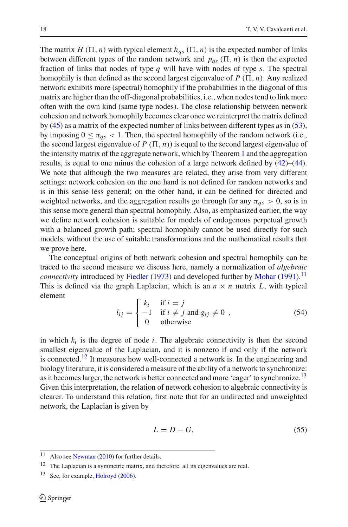The matrix  $H(\Pi, n)$  with typical element  $h_{qs}(\Pi, n)$  is the expected number of links between different types of the random network and  $p_{qs}$  ( $\Pi$ , *n*) is then the expected fraction of links that nodes of type *q* will have with nodes of type *s*. The spectral homophily is then defined as the second largest eigenvalue of  $P(\Pi, n)$ . Any realized network exhibits more (spectral) homophily if the probabilities in the diagonal of this matrix are higher than the off-diagonal probabilities, i.e., when nodes tend to link more often with the own kind (same type nodes). The close relationship between network cohesion and network homophily becomes clear once we reinterpret the matrix defined by [\(45\)](#page-15-2) as a matrix of the expected number of links between different types as in [\(53\)](#page-17-2), by imposing  $0 \leq \pi_{as} < 1$ . Then, the spectral homophily of the random network (i.e., the second largest eigenvalue of  $P(\Pi, n)$  is equal to the second largest eigenvalue of the intensity matrix of the aggregate network, which by Theorem [1](#page-7-1) and the aggregation results, is equal to one minus the cohesion of a large network defined by [\(42\)](#page-15-0)–[\(44\)](#page-15-1). We note that although the two measures are related, they arise from very different settings: network cohesion on the one hand is not defined for random networks and is in this sense less general; on the other hand, it can be defined for directed and weighted networks, and the aggregation results go through for any  $\pi_{as} > 0$ , so is in this sense more general than spectral homophily. Also, as emphasized earlier, the way we define network cohesion is suitable for models of endogenous perpetual growth with a balanced growth path; spectral homophily cannot be used directly for such models, without the use of suitable transformations and the mathematical results that we prove here.

The conceptual origins of both network cohesion and spectral homophily can be traced to the second measure we discuss here, namely a normalization of *algebraic connectivity* introduced by [Fiedler](#page-21-0) [\(1973](#page-21-0)) and developed further by [Mohar](#page-21-1) [\(1991](#page-21-1)).<sup>[11](#page-18-0)</sup> This is defined via the graph Laplacian, which is an  $n \times n$  matrix L, with typical element

$$
l_{ij} = \begin{cases} k_i & \text{if } i = j \\ -1 & \text{if } i \neq j \text{ and } g_{ij} \neq 0 \\ 0 & \text{otherwise} \end{cases}
$$
 (54)

in which  $k_i$  is the degree of node  $i$ . The algebraic connectivity is then the second smallest eigenvalue of the Laplacian, and it is nonzero if and only if the network is connected.<sup>[12](#page-18-1)</sup> It measures how well-connected a network is. In the engineering and biology literature, it is considered a measure of the ability of a network to synchronize: as it becomes larger, the network is better connected and more 'eager' to synchronize.<sup>13</sup> Given this interpretation, the relation of network cohesion to algebraic connectivity is clearer. To understand this relation, first note that for an undirected and unweighted network, the Laplacian is given by

$$
L = D - G,\t\t(55)
$$

Also see [Newman](#page-21-25) [\(2010](#page-21-25)) for further details.

<span id="page-18-0"></span> $12$  The Laplacian is a symmetric matrix, and therefore, all its eigenvalues are real.

<span id="page-18-2"></span><span id="page-18-1"></span>See, for example, [Holroyd](#page-21-26) [\(2006\)](#page-21-26).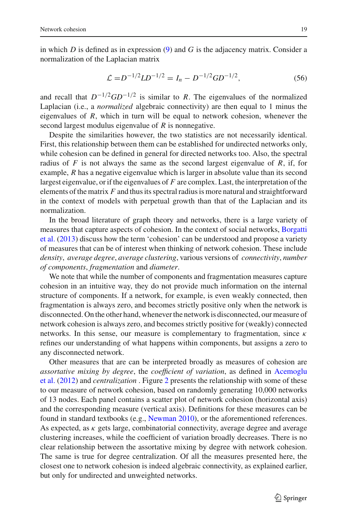in which *D* is defined as in expression [\(9\)](#page-6-5) and *G* is the adjacency matrix. Consider a normalization of the Laplacian matrix

$$
\mathcal{L} = D^{-1/2} L D^{-1/2} = I_n - D^{-1/2} G D^{-1/2},\tag{56}
$$

and recall that  $D^{-1/2}GD^{-1/2}$  is similar to *R*. The eigenvalues of the normalized Laplacian (i.e., a *normalized* algebraic connectivity) are then equal to 1 minus the eigenvalues of *R*, which in turn will be equal to network cohesion, whenever the second largest modulus eigenvalue of *R* is nonnegative.

Despite the similarities however, the two statistics are not necessarily identical. First, this relationship between them can be established for undirected networks only, while cohesion can be defined in general for directed networks too. Also, the spectral radius of  $F$  is not always the same as the second largest eigenvalue of  $R$ , if, for example, *R* has a negative eigenvalue which is larger in absolute value than its second largest eigenvalue, or if the eigenvalues of *F* are complex. Last, the interpretation of the elements of the matrix *F* and thus its spectral radius is more natural and straightforward in the context of models with perpetual growth than that of the Laplacian and its normalization.

In the broad literature of graph theory and networks, there is a large variety of mea[sures](#page-21-27) [that](#page-21-27) [capture](#page-21-27) [aspects](#page-21-27) [of](#page-21-27) [cohesion.](#page-21-27) [In](#page-21-27) [the](#page-21-27) [context](#page-21-27) [of](#page-21-27) [social](#page-21-27) [networks,](#page-21-27) Borgatti et al. [\(2013](#page-21-27)) discuss how the term 'cohesion' can be understood and propose a variety of measures that can be of interest when thinking of network cohesion. These include *density*, *average degree*, *average clustering*, various versions of *connectivity*, *number of components*, *fragmentation* and *diameter*.

We note that while the number of components and fragmentation measures capture cohesion in an intuitive way, they do not provide much information on the internal structure of components. If a network, for example, is even weakly connected, then fragmentation is always zero, and becomes strictly positive only when the network is disconnected. On the other hand, whenever the network is disconnected, our measure of network cohesion is always zero, and becomes strictly positive for (weakly) connected networks. In this sense, our measure is complementary to fragmentation, since  $\kappa$ refines our understanding of what happens within components, but assigns a zero to any disconnected network.

Other measures that are can be interpreted broadly as measures of cohesion are *asso[rtative](#page-21-28) [mixing](#page-21-28) [by](#page-21-28) [degree](#page-21-28)*, the *coefficient of variation*, as defined in Acemoglu et al. [\(2012](#page-21-28)) and *centralization* . Figure [2](#page-20-0) presents the relationship with some of these to our measure of network cohesion, based on randomly generating 10,000 networks of 13 nodes. Each panel contains a scatter plot of network cohesion (horizontal axis) and the corresponding measure (vertical axis). Definitions for these measures can be found in standard textbooks (e.g., [Newman 2010](#page-21-25)), or the aforementioned references. As expected, as  $\kappa$  gets large, combinatorial connectivity, average degree and average clustering increases, while the coefficient of variation broadly decreases. There is no clear relationship between the assortative mixing by degree with network cohesion. The same is true for degree centralization. Of all the measures presented here, the closest one to network cohesion is indeed algebraic connectivity, as explained earlier, but only for undirected and unweighted networks.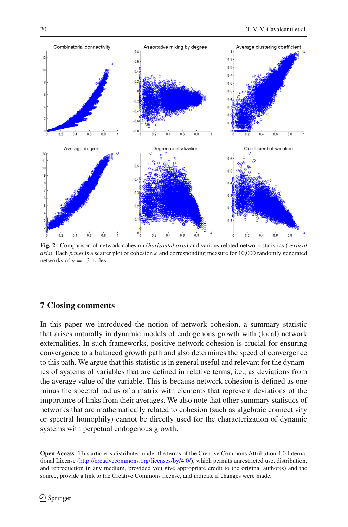

<span id="page-20-0"></span>**Fig. 2** Comparison of network cohesion (*horizontal axis*) and various related network statistics (*vertical axis*). Each *panel* is a scatter plot of cohesion κ and corresponding measure for 10,000 randomly generated networks of  $n = 13$  nodes

#### **7 Closing comments**

In this paper we introduced the notion of network cohesion, a summary statistic that arises naturally in dynamic models of endogenous growth with (local) network externalities. In such frameworks, positive network cohesion is crucial for ensuring convergence to a balanced growth path and also determines the speed of convergence to this path. We argue that this statistic is in general useful and relevant for the dynamics of systems of variables that are defined in relative terms, i.e., as deviations from the average value of the variable. This is because network cohesion is defined as one minus the spectral radius of a matrix with elements that represent deviations of the importance of links from their averages. We also note that other summary statistics of networks that are mathematically related to cohesion (such as algebraic connectivity or spectral homophily) cannot be directly used for the characterization of dynamic systems with perpetual endogenous growth.

**Open Access** This article is distributed under the terms of the Creative Commons Attribution 4.0 International License [\(http://creativecommons.org/licenses/by/4.0/\)](http://creativecommons.org/licenses/by/4.0/), which permits unrestricted use, distribution, and reproduction in any medium, provided you give appropriate credit to the original author(s) and the source, provide a link to the Creative Commons license, and indicate if changes were made.